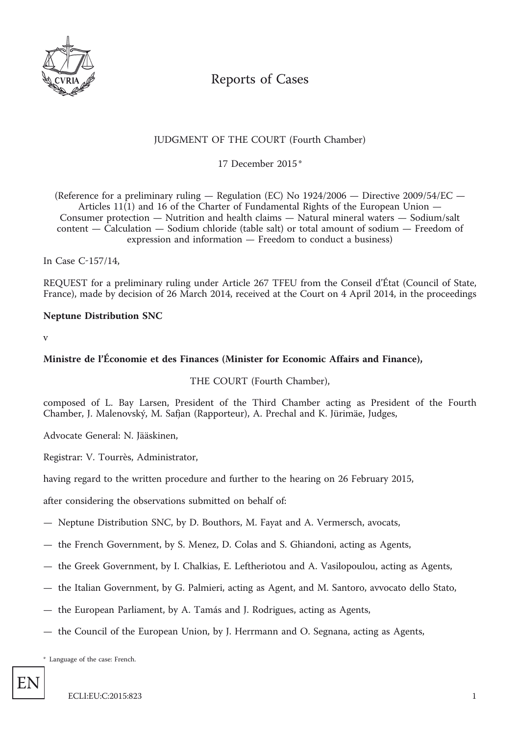

# Reports of Cases

## JUDGMENT OF THE COURT (Fourth Chamber)

17 December 2015 \*

(Reference for a preliminary ruling — Regulation (EC) No 1924/2006 — Directive 2009/54/EC — Articles 11(1) and 16 of the Charter of Fundamental Rights of the European Union — Consumer protection — Nutrition and health claims — Natural mineral waters — Sodium/salt content — Calculation — Sodium chloride (table salt) or total amount of sodium — Freedom of expression and information — Freedom to conduct a business)

In Case C-157/14,

REQUEST for a preliminary ruling under Article 267 TFEU from the Conseil d'État (Council of State, France), made by decision of 26 March 2014, received at the Court on 4 April 2014, in the proceedings

## **Neptune Distribution SNC**

v

## **Ministre de l'Économie et des Finances (Minister for Economic Affairs and Finance),**

THE COURT (Fourth Chamber),

composed of L. Bay Larsen, President of the Third Chamber acting as President of the Fourth Chamber, J. Malenovský, M. Safjan (Rapporteur), A. Prechal and K. Jürimäe, Judges,

Advocate General: N. Jääskinen,

Registrar: V. Tourrès, Administrator,

having regard to the written procedure and further to the hearing on 26 February 2015,

after considering the observations submitted on behalf of:

- Neptune Distribution SNC, by D. Bouthors, M. Fayat and A. Vermersch, avocats,
- the French Government, by S. Menez, D. Colas and S. Ghiandoni, acting as Agents,
- the Greek Government, by I. Chalkias, E. Leftheriotou and A. Vasilopoulou, acting as Agents,
- the Italian Government, by G. Palmieri, acting as Agent, and M. Santoro, avvocato dello Stato,
- the European Parliament, by A. Tamás and J. Rodrigues, acting as Agents,
- the Council of the European Union, by J. Herrmann and O. Segnana, acting as Agents,

\* Language of the case: French.

EN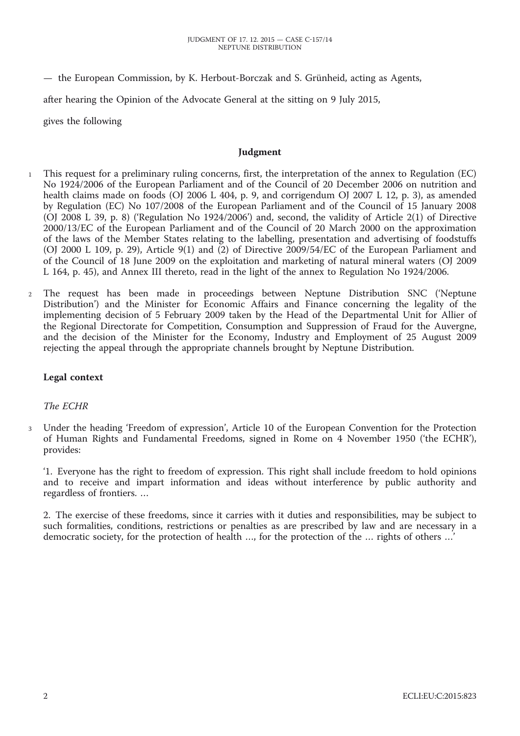— the European Commission, by K. Herbout-Borczak and S. Grünheid, acting as Agents,

after hearing the Opinion of the Advocate General at the sitting on 9 July 2015,

gives the following

#### **Judgment**

- <sup>1</sup> This request for a preliminary ruling concerns, first, the interpretation of the annex to Regulation (EC) No 1924/2006 of the European Parliament and of the Council of 20 December 2006 on nutrition and health claims made on foods (OJ 2006 L 404, p. 9, and corrigendum OJ 2007 L 12, p. 3), as amended by Regulation (EC) No 107/2008 of the European Parliament and of the Council of 15 January 2008 (OJ 2008 L 39, p. 8) ('Regulation No 1924/2006') and, second, the validity of Article 2(1) of Directive 2000/13/EC of the European Parliament and of the Council of 20 March 2000 on the approximation of the laws of the Member States relating to the labelling, presentation and advertising of foodstuffs (OJ 2000 L 109, p. 29), Article 9(1) and (2) of Directive 2009/54/EC of the European Parliament and of the Council of 18 June 2009 on the exploitation and marketing of natural mineral waters (OJ 2009 L 164, p. 45), and Annex III thereto, read in the light of the annex to Regulation No 1924/2006.
- <sup>2</sup> The request has been made in proceedings between Neptune Distribution SNC ('Neptune Distribution') and the Minister for Economic Affairs and Finance concerning the legality of the implementing decision of 5 February 2009 taken by the Head of the Departmental Unit for Allier of the Regional Directorate for Competition, Consumption and Suppression of Fraud for the Auvergne, and the decision of the Minister for the Economy, Industry and Employment of 25 August 2009 rejecting the appeal through the appropriate channels brought by Neptune Distribution.

## **Legal context**

#### *The ECHR*

<sup>3</sup> Under the heading 'Freedom of expression', Article 10 of the European Convention for the Protection of Human Rights and Fundamental Freedoms, signed in Rome on 4 November 1950 ('the ECHR'), provides:

'1. Everyone has the right to freedom of expression. This right shall include freedom to hold opinions and to receive and impart information and ideas without interference by public authority and regardless of frontiers. …

2. The exercise of these freedoms, since it carries with it duties and responsibilities, may be subject to such formalities, conditions, restrictions or penalties as are prescribed by law and are necessary in a democratic society, for the protection of health …, for the protection of the … rights of others …'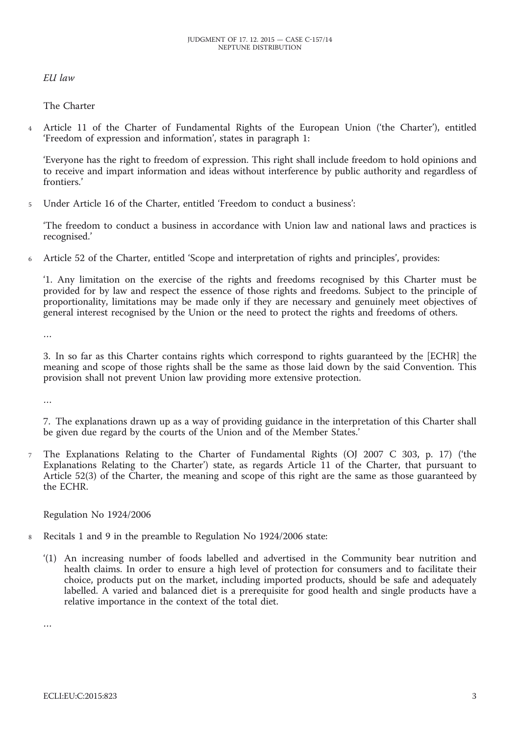*EU law*

The Charter

<sup>4</sup> Article 11 of the Charter of Fundamental Rights of the European Union ('the Charter'), entitled 'Freedom of expression and information', states in paragraph 1:

'Everyone has the right to freedom of expression. This right shall include freedom to hold opinions and to receive and impart information and ideas without interference by public authority and regardless of frontiers.'

<sup>5</sup> Under Article 16 of the Charter, entitled 'Freedom to conduct a business':

'The freedom to conduct a business in accordance with Union law and national laws and practices is recognised.'

<sup>6</sup> Article 52 of the Charter, entitled 'Scope and interpretation of rights and principles', provides:

'1. Any limitation on the exercise of the rights and freedoms recognised by this Charter must be provided for by law and respect the essence of those rights and freedoms. Subject to the principle of proportionality, limitations may be made only if they are necessary and genuinely meet objectives of general interest recognised by the Union or the need to protect the rights and freedoms of others.

…

3. In so far as this Charter contains rights which correspond to rights guaranteed by the [ECHR] the meaning and scope of those rights shall be the same as those laid down by the said Convention. This provision shall not prevent Union law providing more extensive protection.

…

7. The explanations drawn up as a way of providing guidance in the interpretation of this Charter shall be given due regard by the courts of the Union and of the Member States.'

<sup>7</sup> The Explanations Relating to the Charter of Fundamental Rights (OJ 2007 C 303, p. 17) ('the Explanations Relating to the Charter') state, as regards Article 11 of the Charter, that pursuant to Article 52(3) of the Charter, the meaning and scope of this right are the same as those guaranteed by the ECHR.

Regulation No 1924/2006

- <sup>8</sup> Recitals 1 and 9 in the preamble to Regulation No 1924/2006 state:
	- '(1) An increasing number of foods labelled and advertised in the Community bear nutrition and health claims. In order to ensure a high level of protection for consumers and to facilitate their choice, products put on the market, including imported products, should be safe and adequately labelled. A varied and balanced diet is a prerequisite for good health and single products have a relative importance in the context of the total diet.

…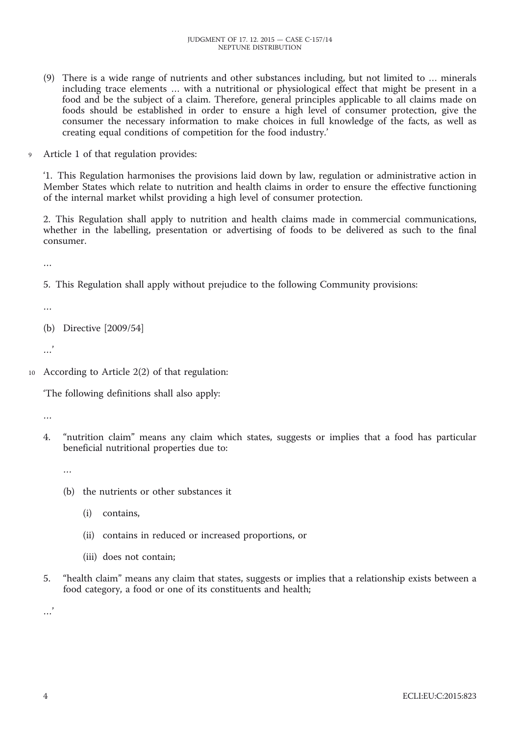- (9) There is a wide range of nutrients and other substances including, but not limited to … minerals including trace elements … with a nutritional or physiological effect that might be present in a food and be the subject of a claim. Therefore, general principles applicable to all claims made on foods should be established in order to ensure a high level of consumer protection, give the consumer the necessary information to make choices in full knowledge of the facts, as well as creating equal conditions of competition for the food industry.'
- <sup>9</sup> Article 1 of that regulation provides:

'1. This Regulation harmonises the provisions laid down by law, regulation or administrative action in Member States which relate to nutrition and health claims in order to ensure the effective functioning of the internal market whilst providing a high level of consumer protection.

2. This Regulation shall apply to nutrition and health claims made in commercial communications, whether in the labelling, presentation or advertising of foods to be delivered as such to the final consumer.

…

5. This Regulation shall apply without prejudice to the following Community provisions:

…

(b) Directive [2009/54]

 $\ddotsc$ 

<sup>10</sup> According to Article 2(2) of that regulation:

'The following definitions shall also apply:

…

4. "nutrition claim" means any claim which states, suggests or implies that a food has particular beneficial nutritional properties due to:

…

- (b) the nutrients or other substances it
	- (i) contains,
	- (ii) contains in reduced or increased proportions, or
	- (iii) does not contain;
- 5. "health claim" means any claim that states, suggests or implies that a relationship exists between a food category, a food or one of its constituents and health;

…'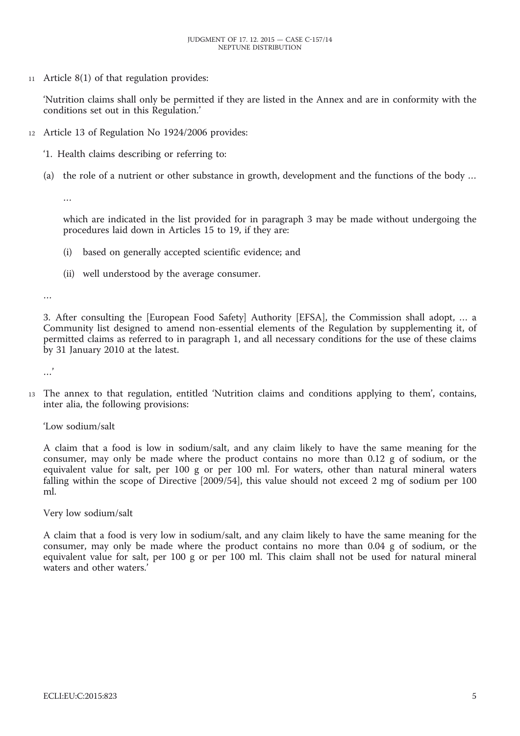<sup>11</sup> Article 8(1) of that regulation provides:

'Nutrition claims shall only be permitted if they are listed in the Annex and are in conformity with the conditions set out in this Regulation.'

- <sup>12</sup> Article 13 of Regulation No 1924/2006 provides:
	- '1. Health claims describing or referring to:
	- (a) the role of a nutrient or other substance in growth, development and the functions of the body …

…

which are indicated in the list provided for in paragraph 3 may be made without undergoing the procedures laid down in Articles 15 to 19, if they are:

- (i) based on generally accepted scientific evidence; and
- (ii) well understood by the average consumer.

…

3. After consulting the [European Food Safety] Authority [EFSA], the Commission shall adopt, … a Community list designed to amend non-essential elements of the Regulation by supplementing it, of permitted claims as referred to in paragraph 1, and all necessary conditions for the use of these claims by 31 January 2010 at the latest.

…'

<sup>13</sup> The annex to that regulation, entitled 'Nutrition claims and conditions applying to them', contains, inter alia, the following provisions:

'Low sodium/salt

A claim that a food is low in sodium/salt, and any claim likely to have the same meaning for the consumer, may only be made where the product contains no more than 0.12 g of sodium, or the equivalent value for salt, per 100 g or per 100 ml. For waters, other than natural mineral waters falling within the scope of Directive [2009/54], this value should not exceed 2 mg of sodium per 100 ml.

Very low sodium/salt

A claim that a food is very low in sodium/salt, and any claim likely to have the same meaning for the consumer, may only be made where the product contains no more than 0.04 g of sodium, or the equivalent value for salt, per 100 g or per 100 ml. This claim shall not be used for natural mineral waters and other waters.'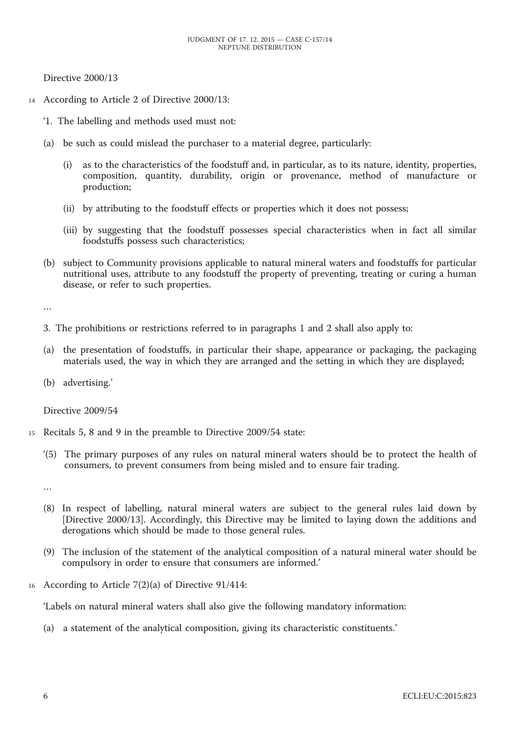Directive 2000/13

- <sup>14</sup> According to Article 2 of Directive 2000/13:
	- '1. The labelling and methods used must not:
	- (a) be such as could mislead the purchaser to a material degree, particularly:
		- (i) as to the characteristics of the foodstuff and, in particular, as to its nature, identity, properties, composition, quantity, durability, origin or provenance, method of manufacture or production;
		- (ii) by attributing to the foodstuff effects or properties which it does not possess;
		- (iii) by suggesting that the foodstuff possesses special characteristics when in fact all similar foodstuffs possess such characteristics;
	- (b) subject to Community provisions applicable to natural mineral waters and foodstuffs for particular nutritional uses, attribute to any foodstuff the property of preventing, treating or curing a human disease, or refer to such properties.

…

- 3. The prohibitions or restrictions referred to in paragraphs 1 and 2 shall also apply to:
- (a) the presentation of foodstuffs, in particular their shape, appearance or packaging, the packaging materials used, the way in which they are arranged and the setting in which they are displayed;
- (b) advertising.'

Directive 2009/54

- <sup>15</sup> Recitals 5, 8 and 9 in the preamble to Directive 2009/54 state:
	- '(5) The primary purposes of any rules on natural mineral waters should be to protect the health of consumers, to prevent consumers from being misled and to ensure fair trading.

…

- (8) In respect of labelling, natural mineral waters are subject to the general rules laid down by [Directive 2000/13]. Accordingly, this Directive may be limited to laying down the additions and derogations which should be made to those general rules.
- (9) The inclusion of the statement of the analytical composition of a natural mineral water should be compulsory in order to ensure that consumers are informed.'
- <sup>16</sup> According to Article 7(2)(a) of Directive 91/414:

'Labels on natural mineral waters shall also give the following mandatory information:

(a) a statement of the analytical composition, giving its characteristic constituents.'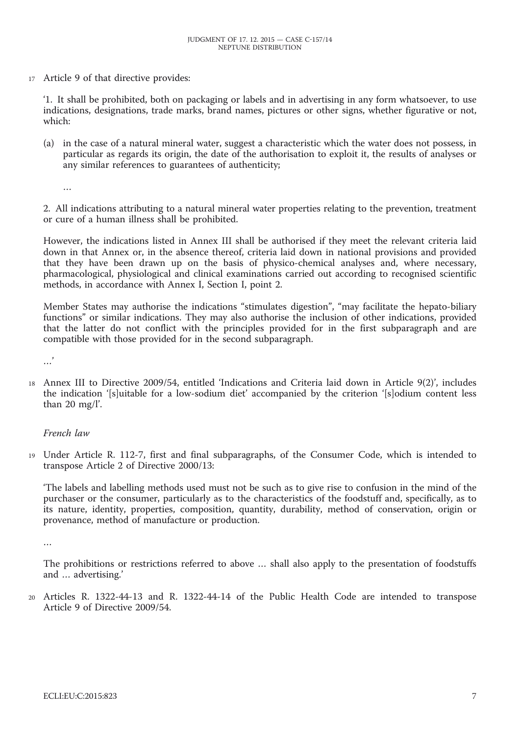<sup>17</sup> Article 9 of that directive provides:

'1. It shall be prohibited, both on packaging or labels and in advertising in any form whatsoever, to use indications, designations, trade marks, brand names, pictures or other signs, whether figurative or not, which:

(a) in the case of a natural mineral water, suggest a characteristic which the water does not possess, in particular as regards its origin, the date of the authorisation to exploit it, the results of analyses or any similar references to guarantees of authenticity;

…

2. All indications attributing to a natural mineral water properties relating to the prevention, treatment or cure of a human illness shall be prohibited.

However, the indications listed in Annex III shall be authorised if they meet the relevant criteria laid down in that Annex or, in the absence thereof, criteria laid down in national provisions and provided that they have been drawn up on the basis of physico-chemical analyses and, where necessary, pharmacological, physiological and clinical examinations carried out according to recognised scientific methods, in accordance with Annex I, Section I, point 2.

Member States may authorise the indications "stimulates digestion", "may facilitate the hepato-biliary functions" or similar indications. They may also authorise the inclusion of other indications, provided that the latter do not conflict with the principles provided for in the first subparagraph and are compatible with those provided for in the second subparagraph.

…'

<sup>18</sup> Annex III to Directive 2009/54, entitled 'Indications and Criteria laid down in Article 9(2)', includes the indication '[s]uitable for a low-sodium diet' accompanied by the criterion '[s]odium content less than 20 mg/l'.

#### *French law*

<sup>19</sup> Under Article R. 112-7, first and final subparagraphs, of the Consumer Code, which is intended to transpose Article 2 of Directive 2000/13:

'The labels and labelling methods used must not be such as to give rise to confusion in the mind of the purchaser or the consumer, particularly as to the characteristics of the foodstuff and, specifically, as to its nature, identity, properties, composition, quantity, durability, method of conservation, origin or provenance, method of manufacture or production.

…

The prohibitions or restrictions referred to above … shall also apply to the presentation of foodstuffs and … advertising.'

<sup>20</sup> Articles R. 1322-44-13 and R. 1322-44-14 of the Public Health Code are intended to transpose Article 9 of Directive 2009/54.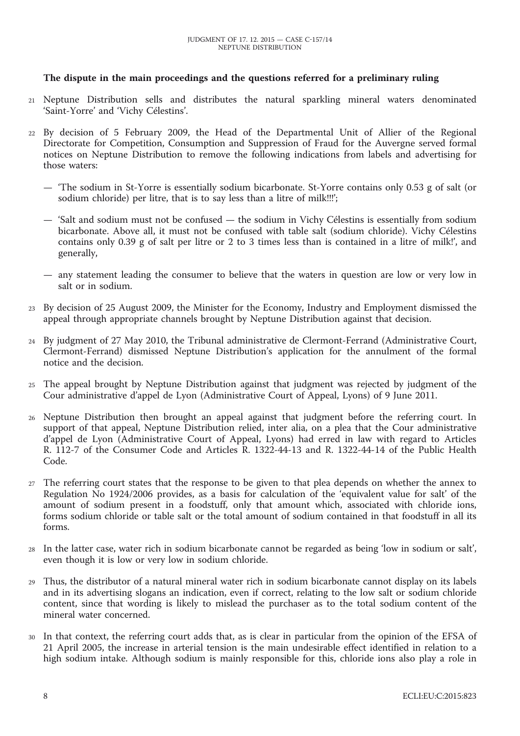## **The dispute in the main proceedings and the questions referred for a preliminary ruling**

- <sup>21</sup> Neptune Distribution sells and distributes the natural sparkling mineral waters denominated 'Saint-Yorre' and 'Vichy Célestins'.
- <sup>22</sup> By decision of 5 February 2009, the Head of the Departmental Unit of Allier of the Regional Directorate for Competition, Consumption and Suppression of Fraud for the Auvergne served formal notices on Neptune Distribution to remove the following indications from labels and advertising for those waters:
	- 'The sodium in St-Yorre is essentially sodium bicarbonate. St-Yorre contains only 0.53 g of salt (or sodium chloride) per litre, that is to say less than a litre of milk!!!';
	- 'Salt and sodium must not be confused the sodium in Vichy Célestins is essentially from sodium bicarbonate. Above all, it must not be confused with table salt (sodium chloride). Vichy Célestins contains only 0.39 g of salt per litre or 2 to 3 times less than is contained in a litre of milk!', and generally,
	- any statement leading the consumer to believe that the waters in question are low or very low in salt or in sodium.
- <sup>23</sup> By decision of 25 August 2009, the Minister for the Economy, Industry and Employment dismissed the appeal through appropriate channels brought by Neptune Distribution against that decision.
- <sup>24</sup> By judgment of 27 May 2010, the Tribunal administrative de Clermont-Ferrand (Administrative Court, Clermont-Ferrand) dismissed Neptune Distribution's application for the annulment of the formal notice and the decision.
- <sup>25</sup> The appeal brought by Neptune Distribution against that judgment was rejected by judgment of the Cour administrative d'appel de Lyon (Administrative Court of Appeal, Lyons) of 9 June 2011.
- <sup>26</sup> Neptune Distribution then brought an appeal against that judgment before the referring court. In support of that appeal, Neptune Distribution relied, inter alia, on a plea that the Cour administrative d'appel de Lyon (Administrative Court of Appeal, Lyons) had erred in law with regard to Articles R. 112-7 of the Consumer Code and Articles R. 1322-44-13 and R. 1322-44-14 of the Public Health Code.
- <sup>27</sup> The referring court states that the response to be given to that plea depends on whether the annex to Regulation No 1924/2006 provides, as a basis for calculation of the 'equivalent value for salt' of the amount of sodium present in a foodstuff, only that amount which, associated with chloride ions, forms sodium chloride or table salt or the total amount of sodium contained in that foodstuff in all its forms.
- <sup>28</sup> In the latter case, water rich in sodium bicarbonate cannot be regarded as being 'low in sodium or salt', even though it is low or very low in sodium chloride.
- <sup>29</sup> Thus, the distributor of a natural mineral water rich in sodium bicarbonate cannot display on its labels and in its advertising slogans an indication, even if correct, relating to the low salt or sodium chloride content, since that wording is likely to mislead the purchaser as to the total sodium content of the mineral water concerned.
- <sup>30</sup> In that context, the referring court adds that, as is clear in particular from the opinion of the EFSA of 21 April 2005, the increase in arterial tension is the main undesirable effect identified in relation to a high sodium intake. Although sodium is mainly responsible for this, chloride ions also play a role in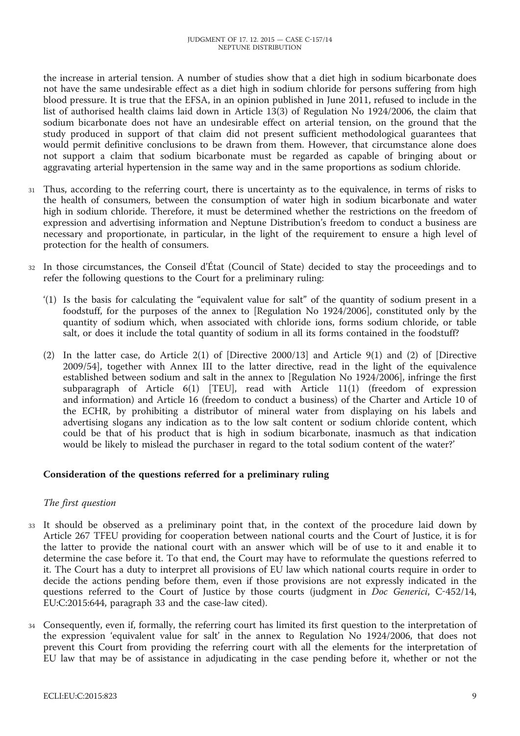the increase in arterial tension. A number of studies show that a diet high in sodium bicarbonate does not have the same undesirable effect as a diet high in sodium chloride for persons suffering from high blood pressure. It is true that the EFSA, in an opinion published in June 2011, refused to include in the list of authorised health claims laid down in Article 13(3) of Regulation No 1924/2006, the claim that sodium bicarbonate does not have an undesirable effect on arterial tension, on the ground that the study produced in support of that claim did not present sufficient methodological guarantees that would permit definitive conclusions to be drawn from them. However, that circumstance alone does not support a claim that sodium bicarbonate must be regarded as capable of bringing about or aggravating arterial hypertension in the same way and in the same proportions as sodium chloride.

- <sup>31</sup> Thus, according to the referring court, there is uncertainty as to the equivalence, in terms of risks to the health of consumers, between the consumption of water high in sodium bicarbonate and water high in sodium chloride. Therefore, it must be determined whether the restrictions on the freedom of expression and advertising information and Neptune Distribution's freedom to conduct a business are necessary and proportionate, in particular, in the light of the requirement to ensure a high level of protection for the health of consumers.
- In those circumstances, the Conseil d'État (Council of State) decided to stay the proceedings and to refer the following questions to the Court for a preliminary ruling:
	- '(1) Is the basis for calculating the "equivalent value for salt" of the quantity of sodium present in a foodstuff, for the purposes of the annex to [Regulation No 1924/2006], constituted only by the quantity of sodium which, when associated with chloride ions, forms sodium chloride, or table salt, or does it include the total quantity of sodium in all its forms contained in the foodstuff?
	- (2) In the latter case, do Article 2(1) of [Directive 2000/13] and Article 9(1) and (2) of [Directive 2009/54], together with Annex III to the latter directive, read in the light of the equivalence established between sodium and salt in the annex to [Regulation No 1924/2006], infringe the first subparagraph of Article 6(1) [TEU], read with Article 11(1) (freedom of expression and information) and Article 16 (freedom to conduct a business) of the Charter and Article 10 of the ECHR, by prohibiting a distributor of mineral water from displaying on his labels and advertising slogans any indication as to the low salt content or sodium chloride content, which could be that of his product that is high in sodium bicarbonate, inasmuch as that indication would be likely to mislead the purchaser in regard to the total sodium content of the water?'

## **Consideration of the questions referred for a preliminary ruling**

## *The first question*

- <sup>33</sup> It should be observed as a preliminary point that, in the context of the procedure laid down by Article 267 TFEU providing for cooperation between national courts and the Court of Justice, it is for the latter to provide the national court with an answer which will be of use to it and enable it to determine the case before it. To that end, the Court may have to reformulate the questions referred to it. The Court has a duty to interpret all provisions of EU law which national courts require in order to decide the actions pending before them, even if those provisions are not expressly indicated in the questions referred to the Court of Justice by those courts (judgment in *Doc Generici*, C-452/14, EU:C:2015:644, paragraph 33 and the case-law cited).
- <sup>34</sup> Consequently, even if, formally, the referring court has limited its first question to the interpretation of the expression 'equivalent value for salt' in the annex to Regulation No 1924/2006, that does not prevent this Court from providing the referring court with all the elements for the interpretation of EU law that may be of assistance in adjudicating in the case pending before it, whether or not the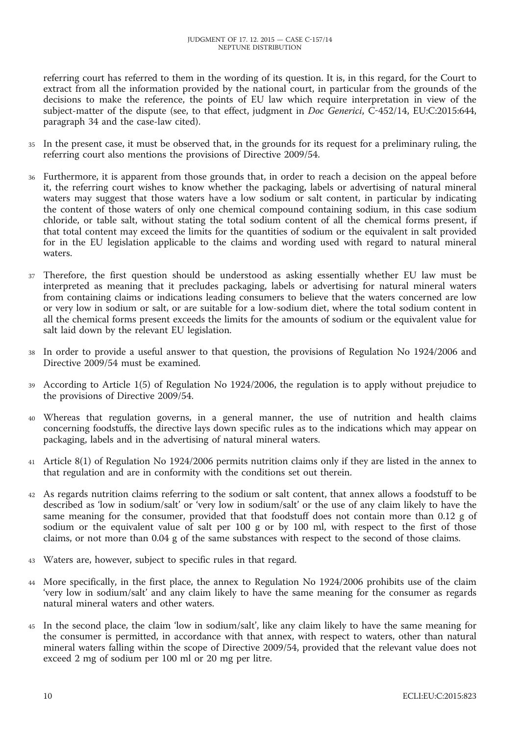referring court has referred to them in the wording of its question. It is, in this regard, for the Court to extract from all the information provided by the national court, in particular from the grounds of the decisions to make the reference, the points of EU law which require interpretation in view of the subject-matter of the dispute (see, to that effect, judgment in *Doc Generici*, C-452/14, EU:C:2015:644, paragraph 34 and the case-law cited).

- <sup>35</sup> In the present case, it must be observed that, in the grounds for its request for a preliminary ruling, the referring court also mentions the provisions of Directive 2009/54.
- <sup>36</sup> Furthermore, it is apparent from those grounds that, in order to reach a decision on the appeal before it, the referring court wishes to know whether the packaging, labels or advertising of natural mineral waters may suggest that those waters have a low sodium or salt content, in particular by indicating the content of those waters of only one chemical compound containing sodium, in this case sodium chloride, or table salt, without stating the total sodium content of all the chemical forms present, if that total content may exceed the limits for the quantities of sodium or the equivalent in salt provided for in the EU legislation applicable to the claims and wording used with regard to natural mineral waters.
- <sup>37</sup> Therefore, the first question should be understood as asking essentially whether EU law must be interpreted as meaning that it precludes packaging, labels or advertising for natural mineral waters from containing claims or indications leading consumers to believe that the waters concerned are low or very low in sodium or salt, or are suitable for a low-sodium diet, where the total sodium content in all the chemical forms present exceeds the limits for the amounts of sodium or the equivalent value for salt laid down by the relevant EU legislation.
- <sup>38</sup> In order to provide a useful answer to that question, the provisions of Regulation No 1924/2006 and Directive 2009/54 must be examined.
- <sup>39</sup> According to Article 1(5) of Regulation No 1924/2006, the regulation is to apply without prejudice to the provisions of Directive 2009/54.
- <sup>40</sup> Whereas that regulation governs, in a general manner, the use of nutrition and health claims concerning foodstuffs, the directive lays down specific rules as to the indications which may appear on packaging, labels and in the advertising of natural mineral waters.
- <sup>41</sup> Article 8(1) of Regulation No 1924/2006 permits nutrition claims only if they are listed in the annex to that regulation and are in conformity with the conditions set out therein.
- <sup>42</sup> As regards nutrition claims referring to the sodium or salt content, that annex allows a foodstuff to be described as 'low in sodium/salt' or 'very low in sodium/salt' or the use of any claim likely to have the same meaning for the consumer, provided that that foodstuff does not contain more than 0.12 g of sodium or the equivalent value of salt per 100 g or by 100 ml, with respect to the first of those claims, or not more than 0.04 g of the same substances with respect to the second of those claims.
- <sup>43</sup> Waters are, however, subject to specific rules in that regard.
- <sup>44</sup> More specifically, in the first place, the annex to Regulation No 1924/2006 prohibits use of the claim 'very low in sodium/salt' and any claim likely to have the same meaning for the consumer as regards natural mineral waters and other waters.
- <sup>45</sup> In the second place, the claim 'low in sodium/salt', like any claim likely to have the same meaning for the consumer is permitted, in accordance with that annex, with respect to waters, other than natural mineral waters falling within the scope of Directive 2009/54, provided that the relevant value does not exceed 2 mg of sodium per 100 ml or 20 mg per litre.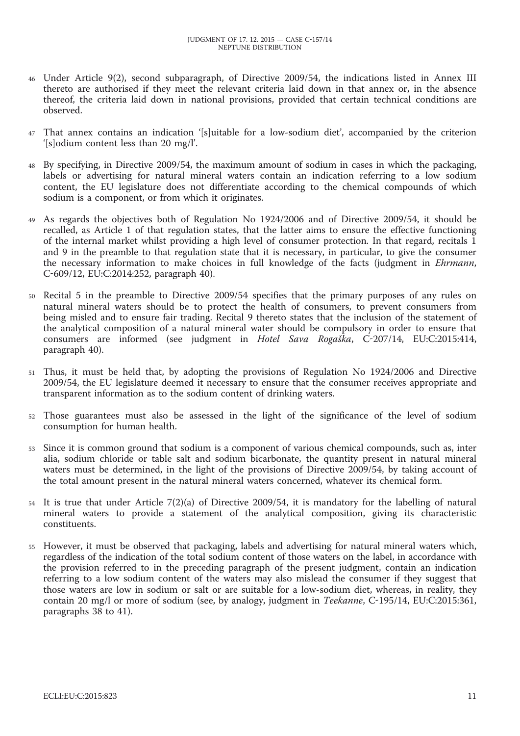- <sup>46</sup> Under Article 9(2), second subparagraph, of Directive 2009/54, the indications listed in Annex III thereto are authorised if they meet the relevant criteria laid down in that annex or, in the absence thereof, the criteria laid down in national provisions, provided that certain technical conditions are observed.
- That annex contains an indication '[s]uitable for a low-sodium diet', accompanied by the criterion '[s]odium content less than 20 mg/l'.
- <sup>48</sup> By specifying, in Directive 2009/54, the maximum amount of sodium in cases in which the packaging, labels or advertising for natural mineral waters contain an indication referring to a low sodium content, the EU legislature does not differentiate according to the chemical compounds of which sodium is a component, or from which it originates.
- <sup>49</sup> As regards the objectives both of Regulation No 1924/2006 and of Directive 2009/54, it should be recalled, as Article 1 of that regulation states, that the latter aims to ensure the effective functioning of the internal market whilst providing a high level of consumer protection. In that regard, recitals 1 and 9 in the preamble to that regulation state that it is necessary, in particular, to give the consumer the necessary information to make choices in full knowledge of the facts (judgment in *Ehrmann*, C-609/12, EU:C:2014:252, paragraph 40).
- <sup>50</sup> Recital 5 in the preamble to Directive 2009/54 specifies that the primary purposes of any rules on natural mineral waters should be to protect the health of consumers, to prevent consumers from being misled and to ensure fair trading. Recital 9 thereto states that the inclusion of the statement of the analytical composition of a natural mineral water should be compulsory in order to ensure that consumers are informed (see judgment in *Hotel Sava Rogaška*, C-207/14, EU:C:2015:414, paragraph 40).
- <sup>51</sup> Thus, it must be held that, by adopting the provisions of Regulation No 1924/2006 and Directive 2009/54, the EU legislature deemed it necessary to ensure that the consumer receives appropriate and transparent information as to the sodium content of drinking waters.
- <sup>52</sup> Those guarantees must also be assessed in the light of the significance of the level of sodium consumption for human health.
- <sup>53</sup> Since it is common ground that sodium is a component of various chemical compounds, such as, inter alia, sodium chloride or table salt and sodium bicarbonate, the quantity present in natural mineral waters must be determined, in the light of the provisions of Directive 2009/54, by taking account of the total amount present in the natural mineral waters concerned, whatever its chemical form.
- <sup>54</sup> It is true that under Article 7(2)(a) of Directive 2009/54, it is mandatory for the labelling of natural mineral waters to provide a statement of the analytical composition, giving its characteristic constituents.
- <sup>55</sup> However, it must be observed that packaging, labels and advertising for natural mineral waters which, regardless of the indication of the total sodium content of those waters on the label, in accordance with the provision referred to in the preceding paragraph of the present judgment, contain an indication referring to a low sodium content of the waters may also mislead the consumer if they suggest that those waters are low in sodium or salt or are suitable for a low-sodium diet, whereas, in reality, they contain 20 mg/l or more of sodium (see, by analogy, judgment in *Teekanne*, C-195/14, EU:C:2015:361, paragraphs 38 to 41).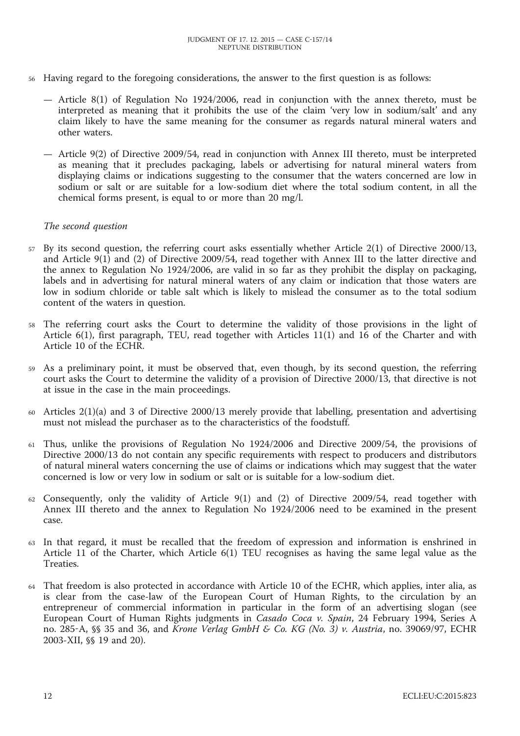- <sup>56</sup> Having regard to the foregoing considerations, the answer to the first question is as follows:
	- Article 8(1) of Regulation No 1924/2006, read in conjunction with the annex thereto, must be interpreted as meaning that it prohibits the use of the claim 'very low in sodium/salt' and any claim likely to have the same meaning for the consumer as regards natural mineral waters and other waters.
	- Article 9(2) of Directive 2009/54, read in conjunction with Annex III thereto, must be interpreted as meaning that it precludes packaging, labels or advertising for natural mineral waters from displaying claims or indications suggesting to the consumer that the waters concerned are low in sodium or salt or are suitable for a low-sodium diet where the total sodium content, in all the chemical forms present, is equal to or more than 20 mg/l.

#### *The second question*

- <sup>57</sup> By its second question, the referring court asks essentially whether Article 2(1) of Directive 2000/13, and Article 9(1) and (2) of Directive 2009/54, read together with Annex III to the latter directive and the annex to Regulation No 1924/2006, are valid in so far as they prohibit the display on packaging, labels and in advertising for natural mineral waters of any claim or indication that those waters are low in sodium chloride or table salt which is likely to mislead the consumer as to the total sodium content of the waters in question.
- <sup>58</sup> The referring court asks the Court to determine the validity of those provisions in the light of Article 6(1), first paragraph, TEU, read together with Articles 11(1) and 16 of the Charter and with Article 10 of the ECHR.
- <sup>59</sup> As a preliminary point, it must be observed that, even though, by its second question, the referring court asks the Court to determine the validity of a provision of Directive 2000/13, that directive is not at issue in the case in the main proceedings.
- <sup>60</sup> Articles 2(1)(a) and 3 of Directive 2000/13 merely provide that labelling, presentation and advertising must not mislead the purchaser as to the characteristics of the foodstuff.
- <sup>61</sup> Thus, unlike the provisions of Regulation No 1924/2006 and Directive 2009/54, the provisions of Directive 2000/13 do not contain any specific requirements with respect to producers and distributors of natural mineral waters concerning the use of claims or indications which may suggest that the water concerned is low or very low in sodium or salt or is suitable for a low-sodium diet.
- <sup>62</sup> Consequently, only the validity of Article 9(1) and (2) of Directive 2009/54, read together with Annex III thereto and the annex to Regulation No 1924/2006 need to be examined in the present case.
- <sup>63</sup> In that regard, it must be recalled that the freedom of expression and information is enshrined in Article 11 of the Charter, which Article 6(1) TEU recognises as having the same legal value as the Treaties.
- <sup>64</sup> That freedom is also protected in accordance with Article 10 of the ECHR, which applies, inter alia, as is clear from the case-law of the European Court of Human Rights, to the circulation by an entrepreneur of commercial information in particular in the form of an advertising slogan (see European Court of Human Rights judgments in *Casado Coca v. Spain*, 24 February 1994, Series A no. 285-A, §§ 35 and 36, and *Krone Verlag GmbH & Co. KG (No. 3) v. Austria*, no. 39069/97, ECHR 2003-XII, §§ 19 and 20).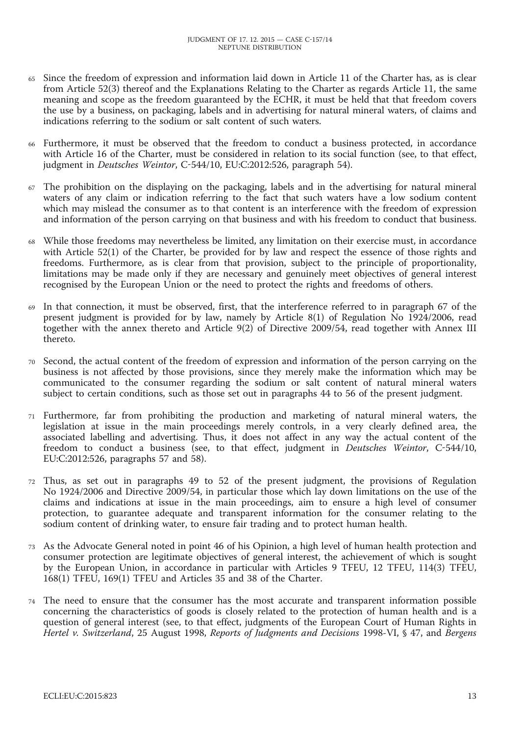- <sup>65</sup> Since the freedom of expression and information laid down in Article 11 of the Charter has, as is clear from Article 52(3) thereof and the Explanations Relating to the Charter as regards Article 11, the same meaning and scope as the freedom guaranteed by the ECHR, it must be held that that freedom covers the use by a business, on packaging, labels and in advertising for natural mineral waters, of claims and indications referring to the sodium or salt content of such waters.
- <sup>66</sup> Furthermore, it must be observed that the freedom to conduct a business protected, in accordance with Article 16 of the Charter, must be considered in relation to its social function (see, to that effect, judgment in *Deutsches Weintor*, C-544/10, EU:C:2012:526, paragraph 54).
- <sup>67</sup> The prohibition on the displaying on the packaging, labels and in the advertising for natural mineral waters of any claim or indication referring to the fact that such waters have a low sodium content which may mislead the consumer as to that content is an interference with the freedom of expression and information of the person carrying on that business and with his freedom to conduct that business.
- <sup>68</sup> While those freedoms may nevertheless be limited, any limitation on their exercise must, in accordance with Article 52(1) of the Charter, be provided for by law and respect the essence of those rights and freedoms. Furthermore, as is clear from that provision, subject to the principle of proportionality, limitations may be made only if they are necessary and genuinely meet objectives of general interest recognised by the European Union or the need to protect the rights and freedoms of others.
- In that connection, it must be observed, first, that the interference referred to in paragraph 67 of the present judgment is provided for by law, namely by Article 8(1) of Regulation No 1924/2006, read together with the annex thereto and Article 9(2) of Directive 2009/54, read together with Annex III thereto.
- <sup>70</sup> Second, the actual content of the freedom of expression and information of the person carrying on the business is not affected by those provisions, since they merely make the information which may be communicated to the consumer regarding the sodium or salt content of natural mineral waters subject to certain conditions, such as those set out in paragraphs 44 to 56 of the present judgment.
- <sup>71</sup> Furthermore, far from prohibiting the production and marketing of natural mineral waters, the legislation at issue in the main proceedings merely controls, in a very clearly defined area, the associated labelling and advertising. Thus, it does not affect in any way the actual content of the freedom to conduct a business (see, to that effect, judgment in *Deutsches Weintor*, C-544/10, EU:C:2012:526, paragraphs 57 and 58).
- <sup>72</sup> Thus, as set out in paragraphs 49 to 52 of the present judgment, the provisions of Regulation No 1924/2006 and Directive 2009/54, in particular those which lay down limitations on the use of the claims and indications at issue in the main proceedings, aim to ensure a high level of consumer protection, to guarantee adequate and transparent information for the consumer relating to the sodium content of drinking water, to ensure fair trading and to protect human health.
- <sup>73</sup> As the Advocate General noted in point 46 of his Opinion, a high level of human health protection and consumer protection are legitimate objectives of general interest, the achievement of which is sought by the European Union, in accordance in particular with Articles 9 TFEU, 12 TFEU, 114(3) TFEU, 168(1) TFEU, 169(1) TFEU and Articles 35 and 38 of the Charter.
- The need to ensure that the consumer has the most accurate and transparent information possible concerning the characteristics of goods is closely related to the protection of human health and is a question of general interest (see, to that effect, judgments of the European Court of Human Rights in *Hertel v. Switzerland*, 25 August 1998, *Reports of Judgments and Decisions* 1998-VI, § 47, and *Bergens*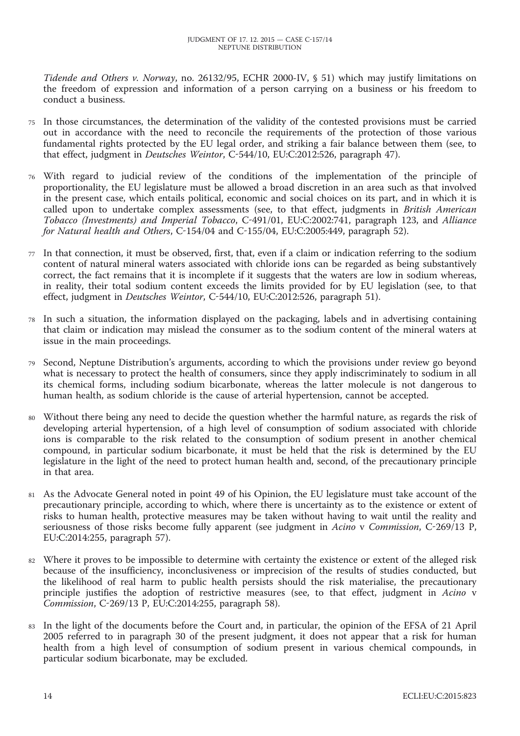*Tidende and Others v. Norway*, no. 26132/95, ECHR 2000-IV, § 51) which may justify limitations on the freedom of expression and information of a person carrying on a business or his freedom to conduct a business.

- <sup>75</sup> In those circumstances, the determination of the validity of the contested provisions must be carried out in accordance with the need to reconcile the requirements of the protection of those various fundamental rights protected by the EU legal order, and striking a fair balance between them (see, to that effect, judgment in *Deutsches Weintor*, C-544/10, EU:C:2012:526, paragraph 47).
- <sup>76</sup> With regard to judicial review of the conditions of the implementation of the principle of proportionality, the EU legislature must be allowed a broad discretion in an area such as that involved in the present case, which entails political, economic and social choices on its part, and in which it is called upon to undertake complex assessments (see, to that effect, judgments in *British American Tobacco (Investments) and Imperial Tobacco*, C-491/01, EU:C:2002:741, paragraph 123, and *Alliance for Natural health and Others*, C-154/04 and C-155/04, EU:C:2005:449, paragraph 52).
- <sup>77</sup> In that connection, it must be observed, first, that, even if a claim or indication referring to the sodium content of natural mineral waters associated with chloride ions can be regarded as being substantively correct, the fact remains that it is incomplete if it suggests that the waters are low in sodium whereas, in reality, their total sodium content exceeds the limits provided for by EU legislation (see, to that effect, judgment in *Deutsches Weintor*, C-544/10, EU:C:2012:526, paragraph 51).
- <sup>78</sup> In such a situation, the information displayed on the packaging, labels and in advertising containing that claim or indication may mislead the consumer as to the sodium content of the mineral waters at issue in the main proceedings.
- <sup>79</sup> Second, Neptune Distribution's arguments, according to which the provisions under review go beyond what is necessary to protect the health of consumers, since they apply indiscriminately to sodium in all its chemical forms, including sodium bicarbonate, whereas the latter molecule is not dangerous to human health, as sodium chloride is the cause of arterial hypertension, cannot be accepted.
- <sup>80</sup> Without there being any need to decide the question whether the harmful nature, as regards the risk of developing arterial hypertension, of a high level of consumption of sodium associated with chloride ions is comparable to the risk related to the consumption of sodium present in another chemical compound, in particular sodium bicarbonate, it must be held that the risk is determined by the EU legislature in the light of the need to protect human health and, second, of the precautionary principle in that area.
- <sup>81</sup> As the Advocate General noted in point 49 of his Opinion, the EU legislature must take account of the precautionary principle, according to which, where there is uncertainty as to the existence or extent of risks to human health, protective measures may be taken without having to wait until the reality and seriousness of those risks become fully apparent (see judgment in *Acino* v *Commission*, C-269/13 P, EU:C:2014:255, paragraph 57).
- <sup>82</sup> Where it proves to be impossible to determine with certainty the existence or extent of the alleged risk because of the insufficiency, inconclusiveness or imprecision of the results of studies conducted, but the likelihood of real harm to public health persists should the risk materialise, the precautionary principle justifies the adoption of restrictive measures (see, to that effect, judgment in *Acino* v *Commission*, C-269/13 P, EU:C:2014:255, paragraph 58).
- In the light of the documents before the Court and, in particular, the opinion of the EFSA of 21 April 2005 referred to in paragraph 30 of the present judgment, it does not appear that a risk for human health from a high level of consumption of sodium present in various chemical compounds, in particular sodium bicarbonate, may be excluded.